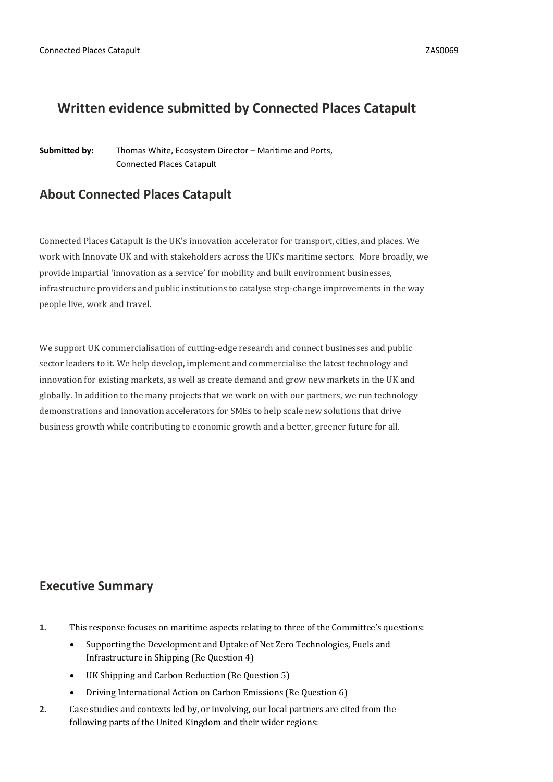# **Written evidence submitted by Connected Places Catapult**

**Submitted by:** Thomas White, Ecosystem Director – Maritime and Ports, Connected Places Catapult

## **About Connected Places Catapult**

Connected Places Catapult is the UK's innovation accelerator for transport, cities, and places. We work with Innovate UK and with stakeholders across the UK's maritime sectors. More broadly, we provide impartial 'innovation as a service' for mobility and built environment businesses, infrastructure providers and public institutions to catalyse step-change improvements in the way people live, work and travel.

We support UK commercialisation of cutting-edge research and connect businesses and public sector leaders to it. We help develop, implement and commercialise the latest technology and innovation for existing markets, as well as create demand and grow new markets in the UK and globally. In addition to the many projects that we work on with our partners, we run technology demonstrations and innovation accelerators for SMEs to help scale new solutions that drive business growth while contributing to economic growth and a better, greener future for all.

### **Executive Summary**

- **1.** This response focuses on maritime aspects relating to three of the Committee's questions:
	- Supporting the Development and Uptake of Net Zero Technologies, Fuels and Infrastructure in Shipping (Re Question 4)
	- UK Shipping and Carbon Reduction (Re Question 5)
	- Driving International Action on Carbon Emissions (Re Question 6)
- **2.** Case studies and contexts led by, or involving, our local partners are cited from the following parts of the United Kingdom and their wider regions: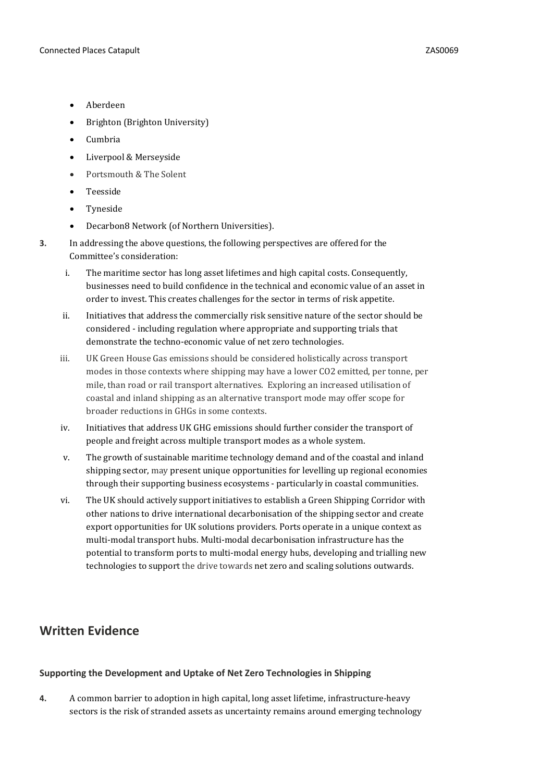- Aberdeen
- Brighton (Brighton University)
- Cumbria
- Liverpool & Merseyside
- Portsmouth & The Solent
- Teesside
- Tyneside
- Decarbon8 Network (of Northern Universities).

**3.** In addressing the above questions, the following perspectives are offered for the Committee's consideration:

- i. The maritime sector has long asset lifetimes and high capital costs. Consequently, businesses need to build confidence in the technical and economic value of an asset in order to invest. This creates challenges for the sector in terms of risk appetite.
- ii. Initiatives that address the commercially risk sensitive nature of the sector should be considered - including regulation where appropriate and supporting trials that demonstrate the techno-economic value of net zero technologies.
- iii. UK Green House Gas emissions should be considered holistically across transport modes in those contexts where shipping may have a lower CO2 emitted, per tonne, per mile, than road or rail transport alternatives. Exploring an increased utilisation of coastal and inland shipping as an alternative transport mode may offer scope for broader reductions in GHGs in some contexts.
- iv. Initiatives that address UK GHG emissions should further consider the transport of people and freight across multiple transport modes as a whole system.
- v. The growth of sustainable maritime technology demand and of the coastal and inland shipping sector, may present unique opportunities for levelling up regional economies through their supporting business ecosystems - particularly in coastal communities.
- vi. The UK should actively support initiatives to establish a Green Shipping Corridor with other nations to drive international decarbonisation of the shipping sector and create export opportunities for UK solutions providers. Ports operate in a unique context as multi-modal transport hubs. Multi-modal decarbonisation infrastructure has the potential to transform ports to multi-modal energy hubs, developing and trialling new technologies to support the drive towards net zero and scaling solutions outwards.

# **Written Evidence**

### **Supporting the Development and Uptake of Net Zero Technologies in Shipping**

**4.** A common barrier to adoption in high capital, long asset lifetime, infrastructure-heavy sectors is the risk of stranded assets as uncertainty remains around emerging technology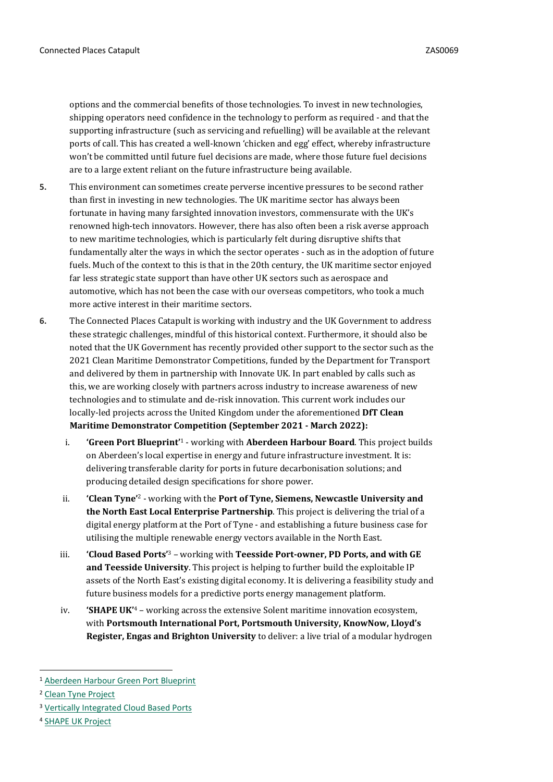options and the commercial benefits of those technologies. To invest in new technologies, shipping operators need confidence in the technology to perform as required - and that the supporting infrastructure (such as servicing and refuelling) will be available at the relevant ports of call. This has created a well-known 'chicken and egg' effect, whereby infrastructure won't be committed until future fuel decisions are made, where those future fuel decisions are to a large extent reliant on the future infrastructure being available.

- **5.** This environment can sometimes create perverse incentive pressures to be second rather than first in investing in new technologies. The UK maritime sector has always been fortunate in having many farsighted innovation investors, commensurate with the UK's renowned high-tech innovators. However, there has also often been a risk averse approach to new maritime technologies, which is particularly felt during disruptive shifts that fundamentally alter the ways in which the sector operates - such as in the adoption of future fuels. Much of the context to this is that in the 20th century, the UK maritime sector enjoyed far less strategic state support than have other UK sectors such as aerospace and automotive, which has not been the case with our overseas competitors, who took a much more active interest in their maritime sectors.
- **6.** The Connected Places Catapult is working with industry and the UK Government to address these strategic challenges, mindful of this historical context. Furthermore, it should also be noted that the UK Government has recently provided other support to the sector such as the 2021 Clean Maritime Demonstrator Competitions, funded by the Department for Transport and delivered by them in partnership with Innovate UK. In part enabled by calls such as this, we are working closely with partners across industry to increase awareness of new technologies and to stimulate and de-risk innovation. This current work includes our locally-led projects across the United Kingdom under the aforementioned **DfT Clean Maritime Demonstrator Competition (September 2021 - March 2022):**
	- i. **'Green Port Blueprint'**<sup>1</sup> working with **Aberdeen Harbour Board**. This project builds on Aberdeen's local expertise in energy and future infrastructure investment. It is: delivering transferable clarity for ports in future decarbonisation solutions; and producing detailed design specifications for shore power.
	- ii. **'Clean Tyne'**<sup>2</sup> working with the **Port of Tyne, Siemens, Newcastle University and the North East Local Enterprise Partnership**. This project is delivering the trial of a digital energy platform at the Port of Tyne - and establishing a future business case for utilising the multiple renewable energy vectors available in the North East.
	- iii. **'Cloud Based Ports'**<sup>3</sup> working with **Teesside Port-owner, PD Ports, and with GE and Teesside University**. This project is helping to further build the exploitable IP assets of the North East's existing digital economy. It is delivering a feasibility study and future business models for a predictive ports energy management platform.
	- iv. **'SHAPE UK'**<sup>4</sup> working across the extensive Solent maritime innovation ecosystem, with **Portsmouth International Port, Portsmouth University, KnowNow, Lloyd's Register, Engas and Brighton University** to deliver: a live trial of a modular hydrogen

<sup>1</sup> [Aberdeen](http://www.aberdeen-harbour.co.uk/news/aberdeen-harbour-receives-green-funding-for-blueprint-shorepower-demonstration-project/) [Harbour](http://www.aberdeen-harbour.co.uk/news/aberdeen-harbour-receives-green-funding-for-blueprint-shorepower-demonstration-project/) [Green](http://www.aberdeen-harbour.co.uk/news/aberdeen-harbour-receives-green-funding-for-blueprint-shorepower-demonstration-project/) [Port](http://www.aberdeen-harbour.co.uk/news/aberdeen-harbour-receives-green-funding-for-blueprint-shorepower-demonstration-project/) [Blueprint](http://www.aberdeen-harbour.co.uk/news/aberdeen-harbour-receives-green-funding-for-blueprint-shorepower-demonstration-project/)

<sup>2</sup> [Clean](https://www.maritimeuk.org/priorities/environment/netzeromaritime-showcase/clean-tyne/) [Tyne](https://www.maritimeuk.org/priorities/environment/netzeromaritime-showcase/clean-tyne/) [Project](https://www.maritimeuk.org/priorities/environment/netzeromaritime-showcase/clean-tyne/)

<sup>3</sup> [Vertically](https://www.tees.ac.uk/sections/news/pressreleases_story.cfm?story_id=7716&this_issue_title=October%202021&this_issue=341) [Integrated](https://www.tees.ac.uk/sections/news/pressreleases_story.cfm?story_id=7716&this_issue_title=October%202021&this_issue=341) [Cloud](https://www.tees.ac.uk/sections/news/pressreleases_story.cfm?story_id=7716&this_issue_title=October%202021&this_issue=341) [Based](https://www.tees.ac.uk/sections/news/pressreleases_story.cfm?story_id=7716&this_issue_title=October%202021&this_issue=341) [Ports](https://www.tees.ac.uk/sections/news/pressreleases_story.cfm?story_id=7716&this_issue_title=October%202021&this_issue=341)

<sup>4</sup> [SHAPE](https://www.port.ac.uk/news-events-and-blogs/news/portsmouth-project-among-winners-of-the-uks-biggest-clean-maritime-competition) [UK](https://www.port.ac.uk/news-events-and-blogs/news/portsmouth-project-among-winners-of-the-uks-biggest-clean-maritime-competition) [Project](https://www.port.ac.uk/news-events-and-blogs/news/portsmouth-project-among-winners-of-the-uks-biggest-clean-maritime-competition)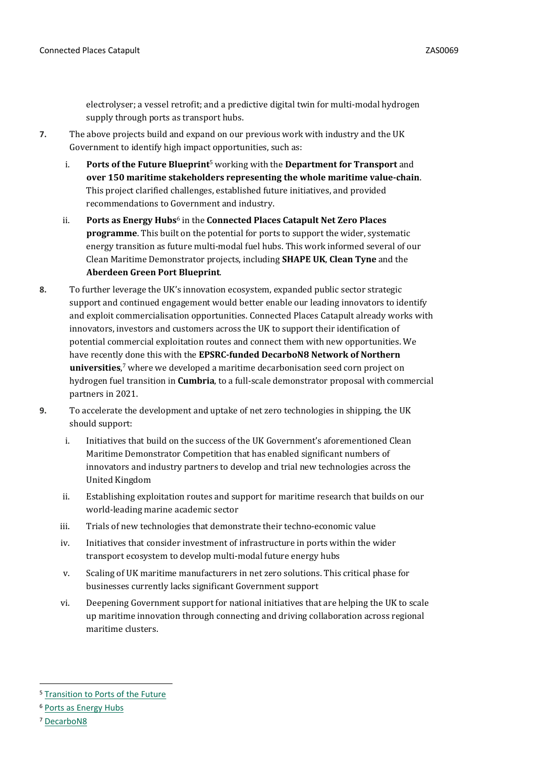electrolyser; a vessel retrofit; and a predictive digital twin for multi-modal hydrogen supply through ports as transport hubs.

- **7.** The above projects build and expand on our previous work with industry and the UK Government to identify high impact opportunities, such as:
	- i. **Ports of the Future Blueprint**<sup>5</sup> working with the **Department for Transport** and **over 150 maritime stakeholders representing the whole maritime value-chain**. This project clarified challenges, established future initiatives, and provided recommendations to Government and industry.
	- ii. Ports as Energy Hubs<sup>6</sup> in the Connected Places Catapult Net Zero Places **programme**. This built on the potential for ports to support the wider, systematic energy transition as future multi-modal fuel hubs. This work informed several of our Clean Maritime Demonstrator projects, including **SHAPE UK**, **Clean Tyne** and the **Aberdeen Green Port Blueprint**.
- **8.** To further leverage the UK's innovation ecosystem, expanded public sector strategic support and continued engagement would better enable our leading innovators to identify and exploit commercialisation opportunities. Connected Places Catapult already works with innovators, investors and customers across the UK to support their identification of potential commercial exploitation routes and connect them with new opportunities. We have recently done this with the **EPSRC-funded DecarboN8 Network of Northern universities**, <sup>7</sup> where we developed a maritime decarbonisation seed corn project on hydrogen fuel transition in **Cumbria**, to a full-scale demonstrator proposal with commercial partners in 2021.
- **9.** To accelerate the development and uptake of net zero technologies in shipping, the UK should support:
	- i. Initiatives that build on the success of the UK Government's aforementioned Clean Maritime Demonstrator Competition that has enabled significant numbers of innovators and industry partners to develop and trial new technologies across the United Kingdom
	- ii. Establishing exploitation routes and support for maritime research that builds on our world-leading marine academic sector
	- iii. Trials of new technologies that demonstrate their techno-economic value
	- iv. Initiatives that consider investment of infrastructure in ports within the wider transport ecosystem to develop multi-modal future energy hubs
	- v. Scaling of UK maritime manufacturers in net zero solutions. This critical phase for businesses currently lacks significant Government support
	- vi. Deepening Government support for national initiatives that are helping the UK to scale up maritime innovation through connecting and driving collaboration across regional maritime clusters.

<sup>5</sup> [Transition](https://cp.catapult.org.uk/event/delivering-the-transition-to-smart-uk-ports/) [to](https://cp.catapult.org.uk/event/delivering-the-transition-to-smart-uk-ports/) [Ports](https://cp.catapult.org.uk/event/delivering-the-transition-to-smart-uk-ports/) [of](https://cp.catapult.org.uk/event/delivering-the-transition-to-smart-uk-ports/) [the](https://cp.catapult.org.uk/event/delivering-the-transition-to-smart-uk-ports/) [Future](https://cp.catapult.org.uk/event/delivering-the-transition-to-smart-uk-ports/)

<sup>6</sup> [Ports](https://cp.catapult.org.uk/news/net-zero-places-innovation-brief/) [as](https://cp.catapult.org.uk/news/net-zero-places-innovation-brief/) [Energy](https://cp.catapult.org.uk/news/net-zero-places-innovation-brief/) [Hubs](https://cp.catapult.org.uk/news/net-zero-places-innovation-brief/)

<sup>7</sup> [DecarboN8](https://decarbon8.org.uk/)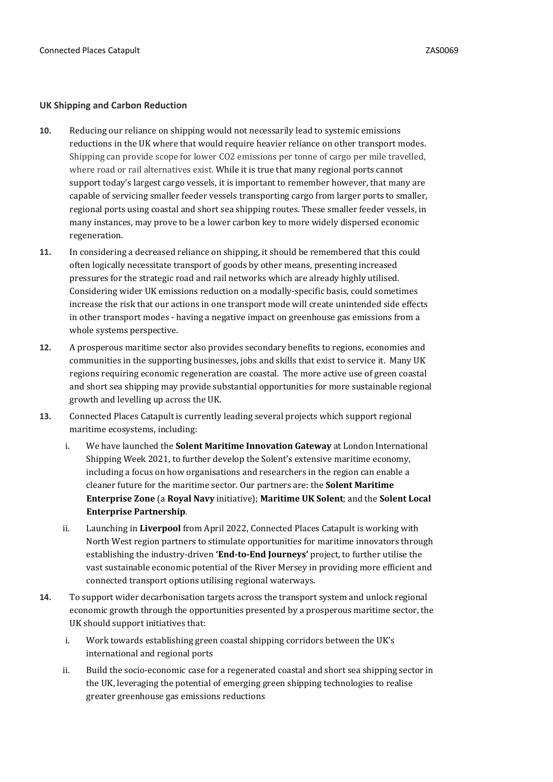#### **UK Shipping and Carbon Reduction**

- **10.** Reducing our reliance on shipping would not necessarily lead to systemic emissions reductions in the UK where that would require heavier reliance on other transport modes. Shipping can provide scope for lower CO2 emissions per tonne of cargo per mile travelled, where road or rail alternatives exist. While it is true that many regional ports cannot support today's largest cargo vessels, it is important to remember however, that many are capable of servicing smaller feeder vessels transporting cargo from larger ports to smaller, regional ports using coastal and short sea shipping routes. These smaller feeder vessels, in many instances, may prove to be a lower carbon key to more widely dispersed economic regeneration.
- **11.** In considering a decreased reliance on shipping, it should be remembered that this could often logically necessitate transport of goods by other means, presenting increased pressures for the strategic road and rail networks which are already highly utilised. Considering wider UK emissions reduction on a modally-specific basis, could sometimes increase the risk that our actions in one transport mode will create unintended side effects in other transport modes - having a negative impact on greenhouse gas emissions from a whole systems perspective.
- **12.** A prosperous maritime sector also provides secondary benefits to regions, economies and communities in the supporting businesses, jobs and skills that exist to service it. Many UK regions requiring economic regeneration are coastal. The more active use of green coastal and short sea shipping may provide substantial opportunities for more sustainable regional growth and levelling up across the UK.
- **13.** Connected Places Catapult is currently leading several projects which support regional maritime ecosystems, including:
	- i. We have launched the **Solent Maritime Innovation Gateway** at London International Shipping Week 2021, to further develop the Solent's extensive maritime economy, including a focus on how organisations and researchers in the region can enable a cleaner future for the maritime sector. Our partners are: the **Solent Maritime Enterprise Zone** (a **Royal Navy** initiative); **Maritime UK Solent**; and the **Solent Local Enterprise Partnership**.
	- ii. Launching in **Liverpool** from April 2022, Connected Places Catapult is working with North West region partners to stimulate opportunities for maritime innovators through establishing the industry-driven **'End-to-End Journeys'** project, to further utilise the vast sustainable economic potential of the River Mersey in providing more efficient and connected transport options utilising regional waterways.
- **14.** To support wider decarbonisation targets across the transport system and unlock regional economic growth through the opportunities presented by a prosperous maritime sector, the UK should support initiatives that:
	- i. Work towards establishing green coastal shipping corridors between the UK's international and regional ports
	- ii. Build the socio-economic case for a regenerated coastal and short sea shipping sector in the UK, leveraging the potential of emerging green shipping technologies to realise greater greenhouse gas emissions reductions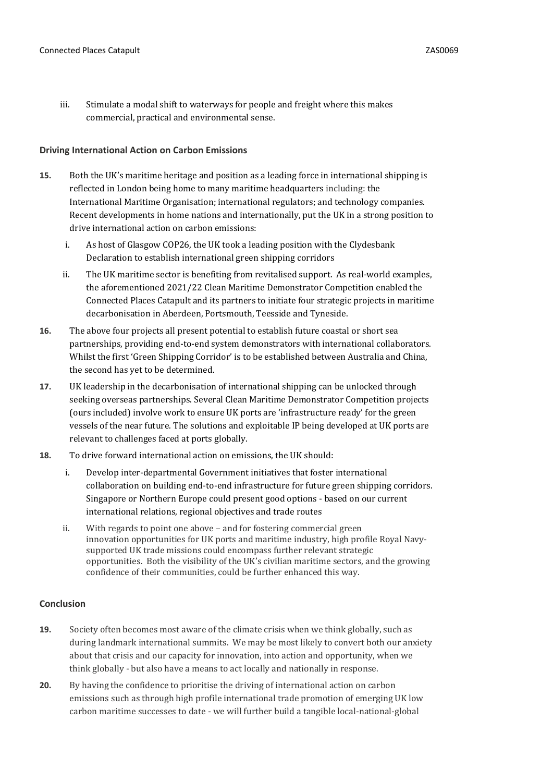iii. Stimulate a modal shift to waterways for people and freight where this makes commercial, practical and environmental sense.

#### **Driving International Action on Carbon Emissions**

- **15.** Both the UK's maritime heritage and position as a leading force in international shipping is reflected in London being home to many maritime headquarters including: the International Maritime Organisation; international regulators; and technology companies. Recent developments in home nations and internationally, put the UK in a strong position to drive international action on carbon emissions:
	- i. As host of Glasgow COP26, the UK took a leading position with the Clydesbank Declaration to establish international green shipping corridors
	- ii. The UK maritime sector is benefiting from revitalised support. As real-world examples, the aforementioned 2021/22 Clean Maritime Demonstrator Competition enabled the Connected Places Catapult and its partners to initiate four strategic projects in maritime decarbonisation in Aberdeen, Portsmouth, Teesside and Tyneside.
- **16.** The above four projects all present potential to establish future coastal or short sea partnerships, providing end-to-end system demonstrators with international collaborators. Whilst the first 'Green Shipping Corridor' is to be established between Australia and China, the second has yet to be determined.
- **17.** UK leadership in the decarbonisation of international shipping can be unlocked through seeking overseas partnerships. Several Clean Maritime Demonstrator Competition projects (ours included) involve work to ensure UK ports are 'infrastructure ready' for the green vessels of the near future. The solutions and exploitable IP being developed at UK ports are relevant to challenges faced at ports globally.
- **18.** To drive forward international action on emissions, the UK should:
	- i. Develop inter-departmental Government initiatives that foster international collaboration on building end-to-end infrastructure for future green shipping corridors. Singapore or Northern Europe could present good options - based on our current international relations, regional objectives and trade routes
	- ii. With regards to point one above and for fostering commercial green innovation opportunities for UK ports and maritime industry, high profile Royal Navysupported UK trade missions could encompass further relevant strategic opportunities. Both the visibility of the UK's civilian maritime sectors, and the growing confidence of their communities, could be further enhanced this way.

### **Conclusion**

- **19.** Society often becomes most aware of the climate crisis when we think globally, such as during landmark international summits. We may be most likely to convert both our anxiety about that crisis and our capacity for innovation, into action and opportunity, when we think globally - but also have a means to act locally and nationally in response.
- **20.** By having the confidence to prioritise the driving of international action on carbon emissions such as through high profile international trade promotion of emerging UK low carbon maritime successes to date - we will further build a tangible local-national-global